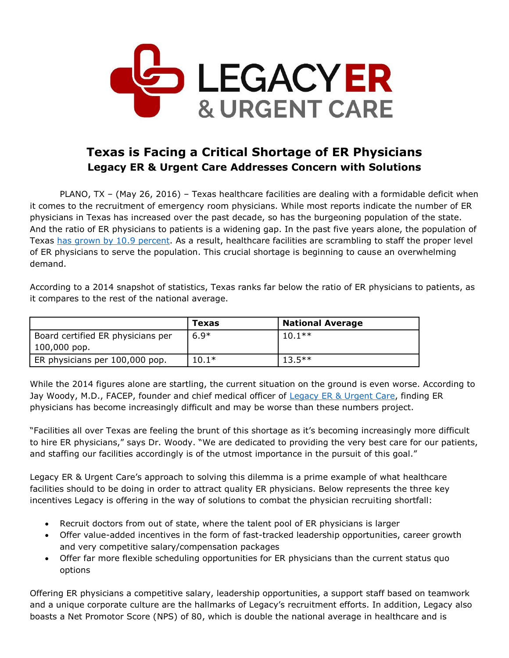

## **Texas is Facing a Critical Shortage of ER Physicians Legacy ER & Urgent Care Addresses Concern with Solutions**

PLANO, TX – (May 26, 2016) – Texas healthcare facilities are dealing with a formidable deficit when it comes to the recruitment of emergency room physicians. While most reports indicate the number of ER physicians in Texas has increased over the past decade, so has the burgeoning population of the state. And the ratio of ER physicians to patients is a widening gap. In the past five years alone, the population of Texas [has grown by 10.9](http://www.census.gov/search-results.html?q=texas+population&search.x=0&search.y=0&search=submit&page=1&stateGeo=none&searchtype=web&cssp=SERP) percent. As a result, healthcare facilities are scrambling to staff the proper level of ER physicians to serve the population. This crucial shortage is beginning to cause an overwhelming demand.

According to a 2014 snapshot of statistics, Texas ranks far below the ratio of ER physicians to patients, as it compares to the rest of the national average.

|                                   | <b>Texas</b> | <b>National Average</b> |
|-----------------------------------|--------------|-------------------------|
| Board certified ER physicians per | $6.9*$       | $10.1**$                |
| $100,000$ pop.                    |              |                         |
| ER physicians per 100,000 pop.    | $10.1*$      | $13.5***$               |

While the 2014 figures alone are startling, the current situation on the ground is even worse. According to Jay Woody, M.D., FACEP, founder and chief medical officer of [Legacy ER & Urgent Care,](http://www.legacyer.com/) finding ER physicians has become increasingly difficult and may be worse than these numbers project.

"Facilities all over Texas are feeling the brunt of this shortage as it's becoming increasingly more difficult to hire ER physicians," says Dr. Woody. "We are dedicated to providing the very best care for our patients, and staffing our facilities accordingly is of the utmost importance in the pursuit of this goal."

Legacy ER & Urgent Care's approach to solving this dilemma is a prime example of what healthcare facilities should to be doing in order to attract quality ER physicians. Below represents the three key incentives Legacy is offering in the way of solutions to combat the physician recruiting shortfall:

- Recruit doctors from out of state, where the talent pool of ER physicians is larger
- Offer value-added incentives in the form of fast-tracked leadership opportunities, career growth and very competitive salary/compensation packages
- Offer far more flexible scheduling opportunities for ER physicians than the current status quo options

Offering ER physicians a competitive salary, leadership opportunities, a support staff based on teamwork and a unique corporate culture are the hallmarks of Legacy's recruitment efforts. In addition, Legacy also boasts a Net Promotor Score (NPS) of 80, which is double the national average in healthcare and is